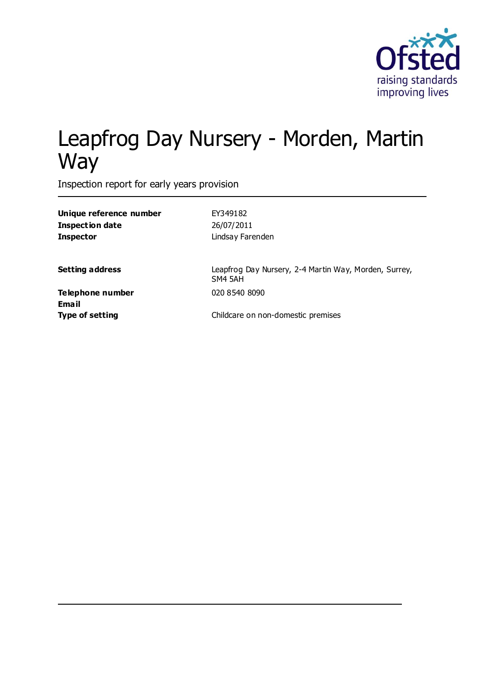

# Leapfrog Day Nursery - Morden, Martin **Way**

Inspection report for early years provision

| Unique reference number          | EY349182                                                         |
|----------------------------------|------------------------------------------------------------------|
| <b>Inspection date</b>           | 26/07/2011                                                       |
| <b>Inspector</b>                 | Lindsay Farenden                                                 |
| <b>Setting address</b>           | Leapfrog Day Nursery, 2-4 Martin Way, Morden, Surrey,<br>SM4 5AH |
| Telephone number<br><b>Email</b> | 020 8540 8090                                                    |
| <b>Type of setting</b>           | Childcare on non-domestic premises                               |
|                                  |                                                                  |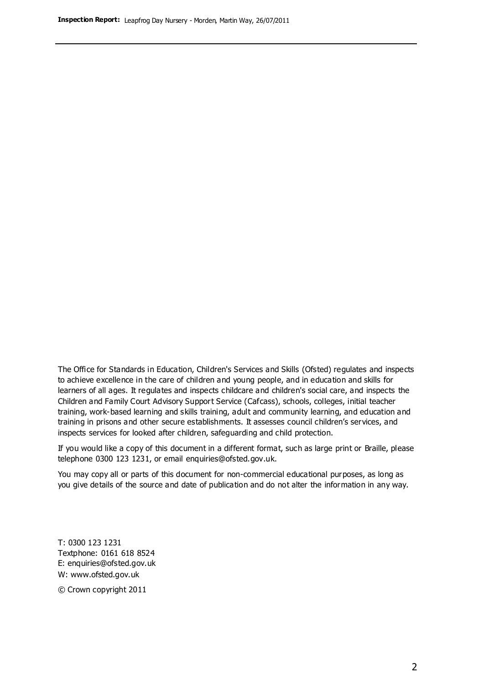The Office for Standards in Education, Children's Services and Skills (Ofsted) regulates and inspects to achieve excellence in the care of children and young people, and in education and skills for learners of all ages. It regulates and inspects childcare and children's social care, and inspects the Children and Family Court Advisory Support Service (Cafcass), schools, colleges, initial teacher training, work-based learning and skills training, adult and community learning, and education and training in prisons and other secure establishments. It assesses council children's services, and inspects services for looked after children, safeguarding and child protection.

If you would like a copy of this document in a different format, such as large print or Braille, please telephone 0300 123 1231, or email enquiries@ofsted.gov.uk.

You may copy all or parts of this document for non-commercial educational purposes, as long as you give details of the source and date of publication and do not alter the information in any way.

T: 0300 123 1231 Textphone: 0161 618 8524 E: enquiries@ofsted.gov.uk W: [www.ofsted.gov.uk](http://www.ofsted.gov.uk/)

© Crown copyright 2011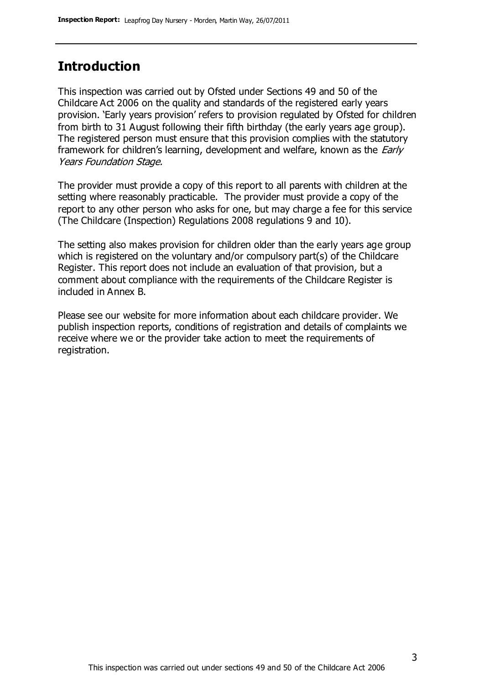# **Introduction**

This inspection was carried out by Ofsted under Sections 49 and 50 of the Childcare Act 2006 on the quality and standards of the registered early years provision. 'Early years provision' refers to provision regulated by Ofsted for children from birth to 31 August following their fifth birthday (the early years age group). The registered person must ensure that this provision complies with the statutory framework for children's learning, development and welfare, known as the *Early* Years Foundation Stage.

The provider must provide a copy of this report to all parents with children at the setting where reasonably practicable. The provider must provide a copy of the report to any other person who asks for one, but may charge a fee for this service (The Childcare (Inspection) Regulations 2008 regulations 9 and 10).

The setting also makes provision for children older than the early years age group which is registered on the voluntary and/or compulsory part(s) of the Childcare Register. This report does not include an evaluation of that provision, but a comment about compliance with the requirements of the Childcare Register is included in Annex B.

Please see our website for more information about each childcare provider. We publish inspection reports, conditions of registration and details of complaints we receive where we or the provider take action to meet the requirements of registration.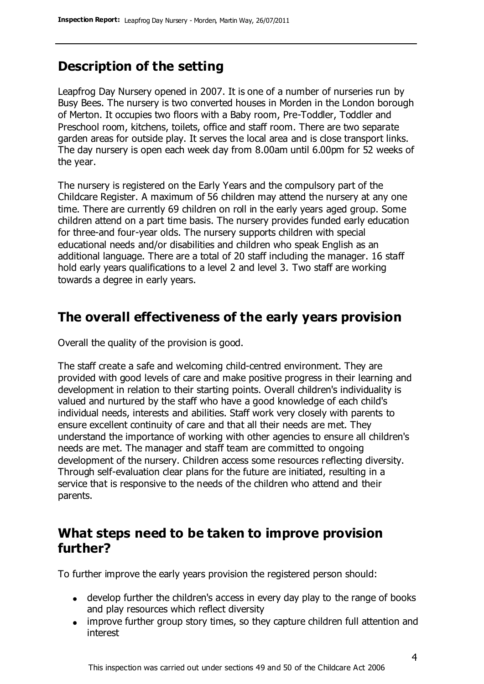# **Description of the setting**

Leapfrog Day Nursery opened in 2007. It is one of a number of nurseries run by Busy Bees. The nursery is two converted houses in Morden in the London borough of Merton. It occupies two floors with a Baby room, Pre-Toddler, Toddler and Preschool room, kitchens, toilets, office and staff room. There are two separate garden areas for outside play. It serves the local area and is close transport links. The day nursery is open each week day from 8.00am until 6.00pm for 52 weeks of the year.

The nursery is registered on the Early Years and the compulsory part of the Childcare Register. A maximum of 56 children may attend the nursery at any one time. There are currently 69 children on roll in the early years aged group. Some children attend on a part time basis. The nursery provides funded early education for three-and four-year olds. The nursery supports children with special educational needs and/or disabilities and children who speak English as an additional language. There are a total of 20 staff including the manager. 16 staff hold early years qualifications to a level 2 and level 3. Two staff are working towards a degree in early years.

### **The overall effectiveness of the early years provision**

Overall the quality of the provision is good.

The staff create a safe and welcoming child-centred environment. They are provided with good levels of care and make positive progress in their learning and development in relation to their starting points. Overall children's individuality is valued and nurtured by the staff who have a good knowledge of each child's individual needs, interests and abilities. Staff work very closely with parents to ensure excellent continuity of care and that all their needs are met. They understand the importance of working with other agencies to ensure all children's needs are met. The manager and staff team are committed to ongoing development of the nursery. Children access some resources reflecting diversity. Through self-evaluation clear plans for the future are initiated, resulting in a service that is responsive to the needs of the children who attend and their parents.

### **What steps need to be taken to improve provision further?**

To further improve the early years provision the registered person should:

- develop further the children's access in every day play to the range of books and play resources which reflect diversity
- improve further group story times, so they capture children full attention and interest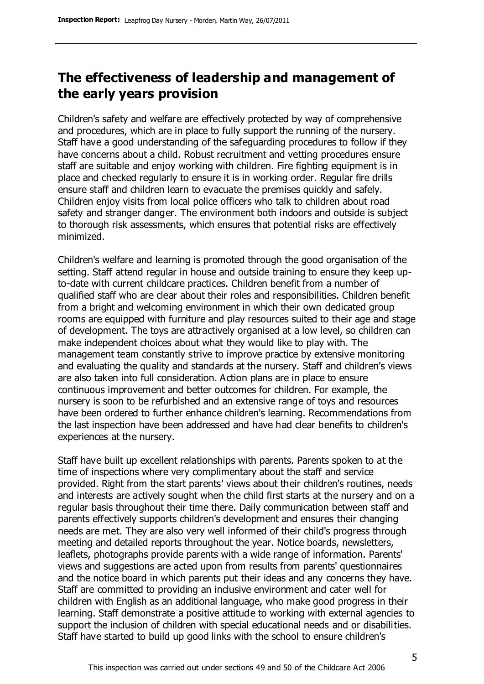# **The effectiveness of leadership and management of the early years provision**

Children's safety and welfare are effectively protected by way of comprehensive and procedures, which are in place to fully support the running of the nursery. Staff have a good understanding of the safeguarding procedures to follow if they have concerns about a child. Robust recruitment and vetting procedures ensure staff are suitable and enjoy working with children. Fire fighting equipment is in place and checked regularly to ensure it is in working order. Regular fire drills ensure staff and children learn to evacuate the premises quickly and safely. Children enjoy visits from local police officers who talk to children about road safety and stranger danger. The environment both indoors and outside is subject to thorough risk assessments, which ensures that potential risks are effectively minimized.

Children's welfare and learning is promoted through the good organisation of the setting. Staff attend regular in house and outside training to ensure they keep upto-date with current childcare practices. Children benefit from a number of qualified staff who are clear about their roles and responsibilities. Children benefit from a bright and welcoming environment in which their own dedicated group rooms are equipped with furniture and play resources suited to their age and stage of development. The toys are attractively organised at a low level, so children can make independent choices about what they would like to play with. The management team constantly strive to improve practice by extensive monitoring and evaluating the quality and standards at the nursery. Staff and children's views are also taken into full consideration. Action plans are in place to ensure continuous improvement and better outcomes for children. For example, the nursery is soon to be refurbished and an extensive range of toys and resources have been ordered to further enhance children's learning. Recommendations from the last inspection have been addressed and have had clear benefits to children's experiences at the nursery.

Staff have built up excellent relationships with parents. Parents spoken to at the time of inspections where very complimentary about the staff and service provided. Right from the start parents' views about their children's routines, needs and interests are actively sought when the child first starts at the nursery and on a regular basis throughout their time there. Daily communication between staff and parents effectively supports children's development and ensures their changing needs are met. They are also very well informed of their child's progress through meeting and detailed reports throughout the year. Notice boards, newsletters, leaflets, photographs provide parents with a wide range of information. Parents' views and suggestions are acted upon from results from parents' questionnaires and the notice board in which parents put their ideas and any concerns they have. Staff are committed to providing an inclusive environment and cater well for children with English as an additional language, who make good progress in their learning. Staff demonstrate a positive attitude to working with external agencies to support the inclusion of children with special educational needs and or disabilities. Staff have started to build up good links with the school to ensure children's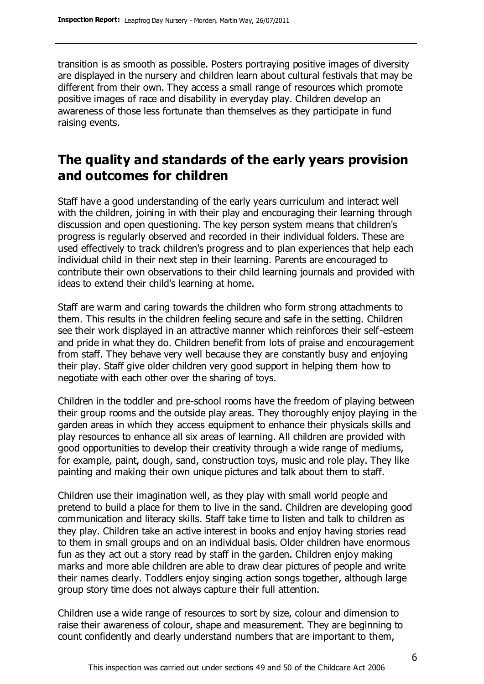transition is as smooth as possible. Posters portraying positive images of diversity are displayed in the nursery and children learn about cultural festivals that may be different from their own. They access a small range of resources which promote positive images of race and disability in everyday play. Children develop an awareness of those less fortunate than themselves as they participate in fund raising events.

## **The quality and standards of the early years provision and outcomes for children**

Staff have a good understanding of the early years curriculum and interact well with the children, joining in with their play and encouraging their learning through discussion and open questioning. The key person system means that children's progress is regularly observed and recorded in their individual folders. These are used effectively to track children's progress and to plan experiences that help each individual child in their next step in their learning. Parents are encouraged to contribute their own observations to their child learning journals and provided with ideas to extend their child's learning at home.

Staff are warm and caring towards the children who form strong attachments to them. This results in the children feeling secure and safe in the setting. Children see their work displayed in an attractive manner which reinforces their self-esteem and pride in what they do. Children benefit from lots of praise and encouragement from staff. They behave very well because they are constantly busy and enjoying their play. Staff give older children very good support in helping them how to negotiate with each other over the sharing of toys.

Children in the toddler and pre-school rooms have the freedom of playing between their group rooms and the outside play areas. They thoroughly enjoy playing in the garden areas in which they access equipment to enhance their physicals skills and play resources to enhance all six areas of learning. All children are provided with good opportunities to develop their creativity through a wide range of mediums, for example, paint, dough, sand, construction toys, music and role play. They like painting and making their own unique pictures and talk about them to staff.

Children use their imagination well, as they play with small world people and pretend to build a place for them to live in the sand. Children are developing good communication and literacy skills. Staff take time to listen and talk to children as they play. Children take an active interest in books and enjoy having stories read to them in small groups and on an individual basis. Older children have enormous fun as they act out a story read by staff in the garden. Children enjoy making marks and more able children are able to draw clear pictures of people and write their names clearly. Toddlers enjoy singing action songs together, although large group story time does not always capture their full attention.

Children use a wide range of resources to sort by size, colour and dimension to raise their awareness of colour, shape and measurement. They are beginning to count confidently and clearly understand numbers that are important to them,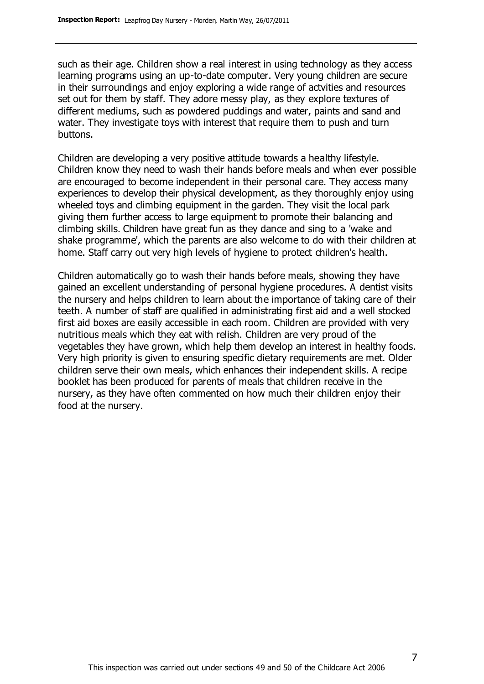such as their age. Children show a real interest in using technology as they access learning programs using an up-to-date computer. Very young children are secure in their surroundings and enjoy exploring a wide range of actvities and resources set out for them by staff. They adore messy play, as they explore textures of different mediums, such as powdered puddings and water, paints and sand and water. They investigate toys with interest that require them to push and turn buttons.

Children are developing a very positive attitude towards a healthy lifestyle. Children know they need to wash their hands before meals and when ever possible are encouraged to become independent in their personal care. They access many experiences to develop their physical development, as they thoroughly enjoy using wheeled toys and climbing equipment in the garden. They visit the local park giving them further access to large equipment to promote their balancing and climbing skills. Children have great fun as they dance and sing to a 'wake and shake programme', which the parents are also welcome to do with their children at home. Staff carry out very high levels of hygiene to protect children's health.

Children automatically go to wash their hands before meals, showing they have gained an excellent understanding of personal hygiene procedures. A dentist visits the nursery and helps children to learn about the importance of taking care of their teeth. A number of staff are qualified in administrating first aid and a well stocked first aid boxes are easily accessible in each room. Children are provided with very nutritious meals which they eat with relish. Children are very proud of the vegetables they have grown, which help them develop an interest in healthy foods. Very high priority is given to ensuring specific dietary requirements are met. Older children serve their own meals, which enhances their independent skills. A recipe booklet has been produced for parents of meals that children receive in the nursery, as they have often commented on how much their children enjoy their food at the nursery.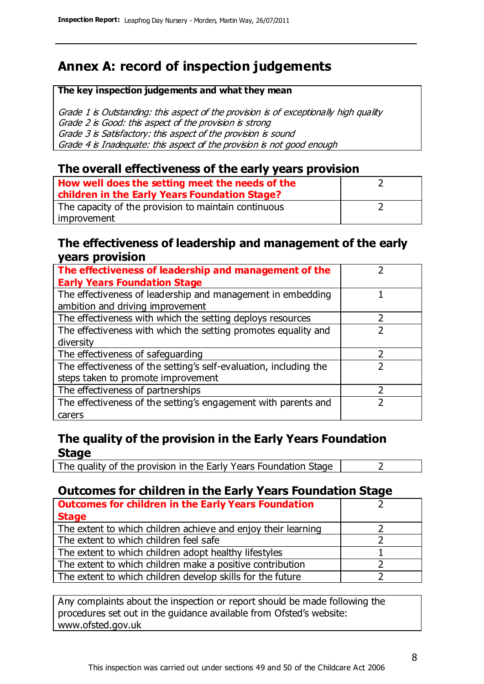# **Annex A: record of inspection judgements**

#### **The key inspection judgements and what they mean**

Grade 1 is Outstanding: this aspect of the provision is of exceptionally high quality Grade 2 is Good: this aspect of the provision is strong Grade 3 is Satisfactory: this aspect of the provision is sound Grade 4 is Inadequate: this aspect of the provision is not good enough

#### **The overall effectiveness of the early years provision**

| How well does the setting meet the needs of the      |  |
|------------------------------------------------------|--|
| children in the Early Years Foundation Stage?        |  |
| The capacity of the provision to maintain continuous |  |
| improvement                                          |  |

#### **The effectiveness of leadership and management of the early years provision**

| The effectiveness of leadership and management of the             |  |
|-------------------------------------------------------------------|--|
| <b>Early Years Foundation Stage</b>                               |  |
| The effectiveness of leadership and management in embedding       |  |
| ambition and driving improvement                                  |  |
| The effectiveness with which the setting deploys resources        |  |
| The effectiveness with which the setting promotes equality and    |  |
| diversity                                                         |  |
| The effectiveness of safeguarding                                 |  |
| The effectiveness of the setting's self-evaluation, including the |  |
| steps taken to promote improvement                                |  |
| The effectiveness of partnerships                                 |  |
| The effectiveness of the setting's engagement with parents and    |  |
| carers                                                            |  |

#### **The quality of the provision in the Early Years Foundation Stage**

The quality of the provision in the Early Years Foundation Stage  $\vert$  2

#### **Outcomes for children in the Early Years Foundation Stage**

| <b>Outcomes for children in the Early Years Foundation</b>    |  |
|---------------------------------------------------------------|--|
| <b>Stage</b>                                                  |  |
| The extent to which children achieve and enjoy their learning |  |
| The extent to which children feel safe                        |  |
| The extent to which children adopt healthy lifestyles         |  |
| The extent to which children make a positive contribution     |  |
| The extent to which children develop skills for the future    |  |

Any complaints about the inspection or report should be made following the procedures set out in the guidance available from Ofsted's website: www.ofsted.gov.uk